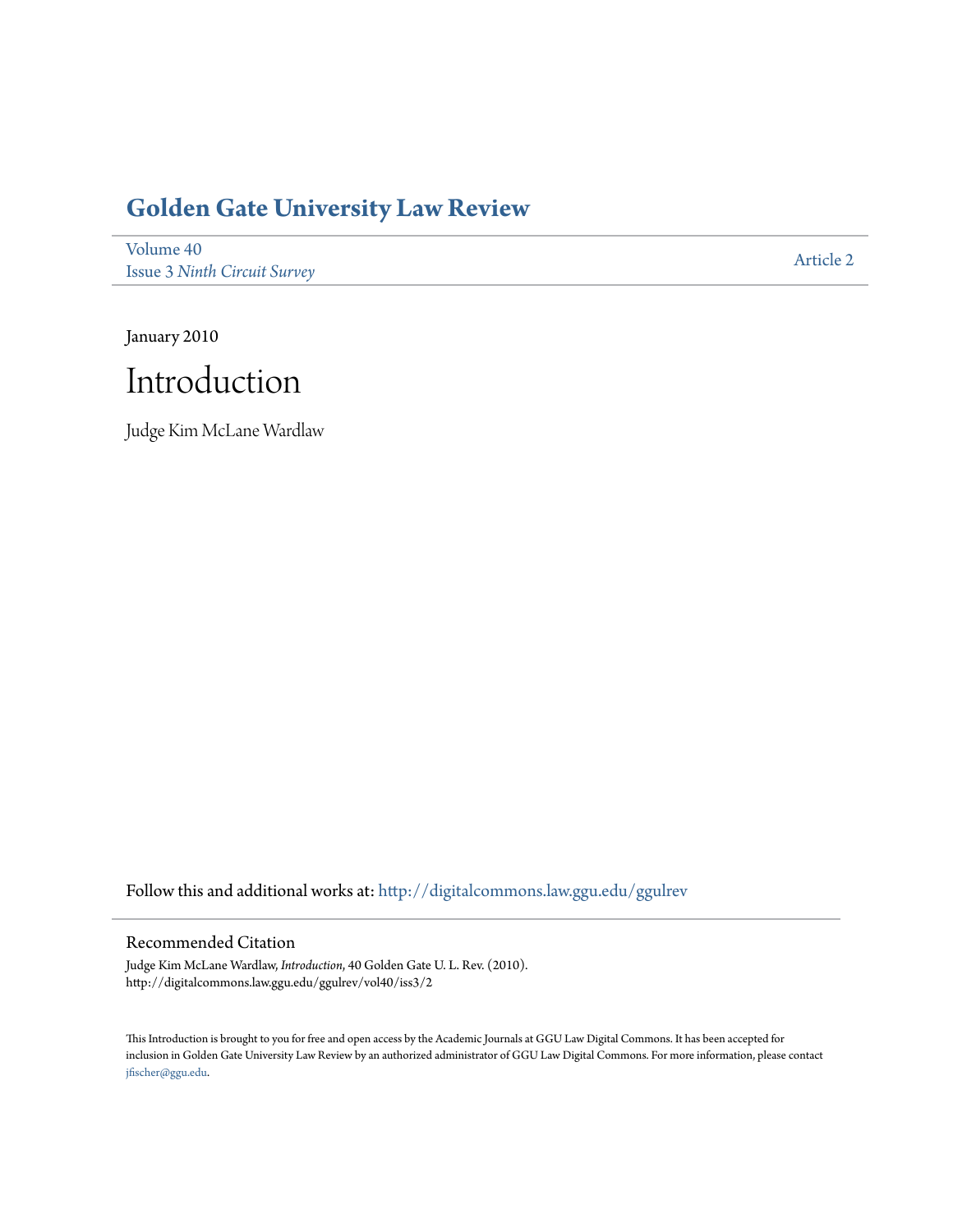# **[Golden Gate University Law Review](http://digitalcommons.law.ggu.edu/ggulrev?utm_source=digitalcommons.law.ggu.edu%2Fggulrev%2Fvol40%2Fiss3%2F2&utm_medium=PDF&utm_campaign=PDFCoverPages)**

[Volume 40](http://digitalcommons.law.ggu.edu/ggulrev/vol40?utm_source=digitalcommons.law.ggu.edu%2Fggulrev%2Fvol40%2Fiss3%2F2&utm_medium=PDF&utm_campaign=PDFCoverPages) Issue 3 *[Ninth Circuit Survey](http://digitalcommons.law.ggu.edu/ggulrev/vol40/iss3?utm_source=digitalcommons.law.ggu.edu%2Fggulrev%2Fvol40%2Fiss3%2F2&utm_medium=PDF&utm_campaign=PDFCoverPages)*

[Article 2](http://digitalcommons.law.ggu.edu/ggulrev/vol40/iss3/2?utm_source=digitalcommons.law.ggu.edu%2Fggulrev%2Fvol40%2Fiss3%2F2&utm_medium=PDF&utm_campaign=PDFCoverPages)

January 2010



Judge Kim McLane Wardlaw

Follow this and additional works at: [http://digitalcommons.law.ggu.edu/ggulrev](http://digitalcommons.law.ggu.edu/ggulrev?utm_source=digitalcommons.law.ggu.edu%2Fggulrev%2Fvol40%2Fiss3%2F2&utm_medium=PDF&utm_campaign=PDFCoverPages)

## Recommended Citation

Judge Kim McLane Wardlaw, *Introduction*, 40 Golden Gate U. L. Rev. (2010). http://digitalcommons.law.ggu.edu/ggulrev/vol40/iss3/2

This Introduction is brought to you for free and open access by the Academic Journals at GGU Law Digital Commons. It has been accepted for inclusion in Golden Gate University Law Review by an authorized administrator of GGU Law Digital Commons. For more information, please contact [jfischer@ggu.edu](mailto:jfischer@ggu.edu).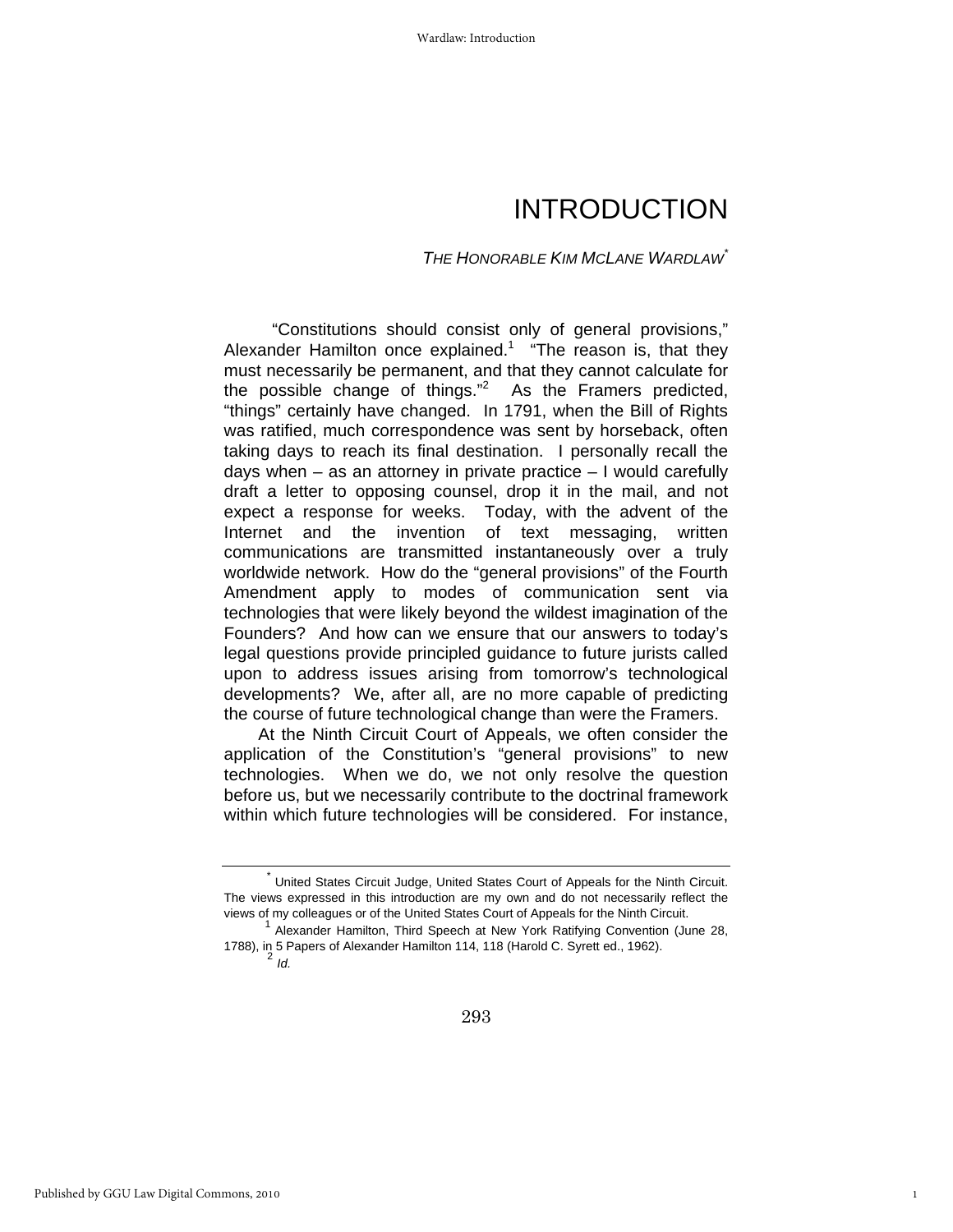# INTRODUCTION

### *THE HONORABLE KIM MCLANE WARDLAW\**

 "Constitutions should consist only of general provisions," Alexander Hamilton once explained.<sup>1</sup> "The reason is, that they must necessarily be permanent, and that they cannot calculate for the possible change of things. $n^2$  As the Framers predicted, "things" certainly have changed. In 1791, when the Bill of Rights was ratified, much correspondence was sent by horseback, often taking days to reach its final destination. I personally recall the days when – as an attorney in private practice – I would carefully draft a letter to opposing counsel, drop it in the mail, and not expect a response for weeks. Today, with the advent of the Internet and the invention of text messaging, written communications are transmitted instantaneously over a truly worldwide network. How do the "general provisions" of the Fourth Amendment apply to modes of communication sent via technologies that were likely beyond the wildest imagination of the Founders? And how can we ensure that our answers to today's legal questions provide principled guidance to future jurists called upon to address issues arising from tomorrow's technological developments? We, after all, are no more capable of predicting the course of future technological change than were the Framers.

At the Ninth Circuit Court of Appeals, we often consider the application of the Constitution's "general provisions" to new technologies. When we do, we not only resolve the question before us, but we necessarily contribute to the doctrinal framework within which future technologies will be considered. For instance,

1

United States Circuit Judge, United States Court of Appeals for the Ninth Circuit. The views expressed in this introduction are my own and do not necessarily reflect the views of my colleagues or of the United States Court of Appeals for the Ninth Circuit. 1 Alexander Hamilton, Third Speech at New York Ratifying Convention (June 28,

<sup>1788),</sup> in 5 Papers of Alexander Hamilton 114, 118 (Harold C. Syrett ed., 1962). <sup>2</sup> *Id.*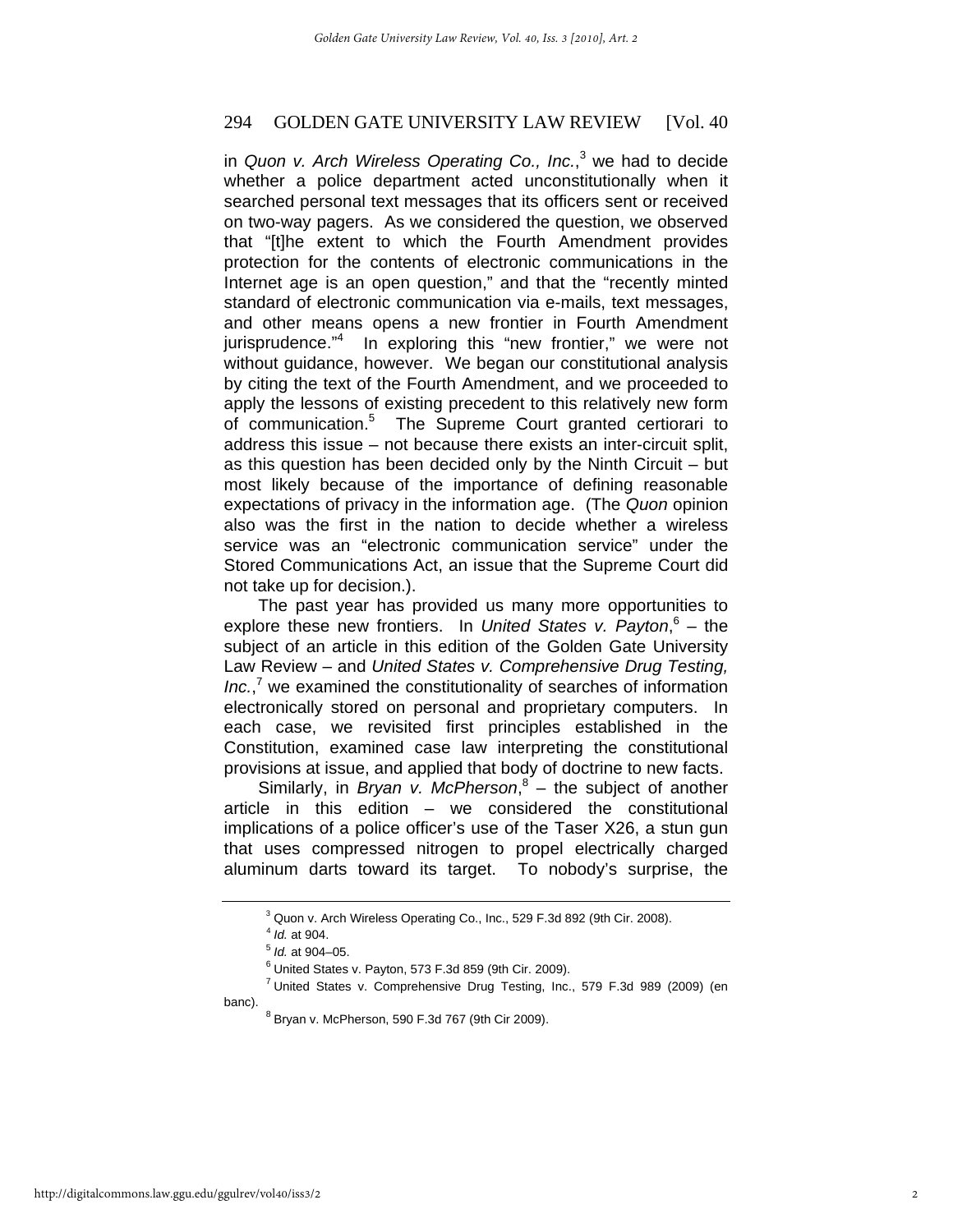# 294 GOLDEN GATE UNIVERSITY LAW REVIEW [Vol. 40]

in *Quon v. Arch Wireless Operating Co., Inc.*, 3 we had to decide whether a police department acted unconstitutionally when it searched personal text messages that its officers sent or received on two-way pagers. As we considered the question, we observed that "[t]he extent to which the Fourth Amendment provides protection for the contents of electronic communications in the Internet age is an open question," and that the "recently minted standard of electronic communication via e-mails, text messages, and other means opens a new frontier in Fourth Amendment jurisprudence."<sup>4</sup> In exploring this "new frontier," we were not without guidance, however. We began our constitutional analysis by citing the text of the Fourth Amendment, and we proceeded to apply the lessons of existing precedent to this relatively new form of communication.<sup>5</sup> The Supreme Court granted certiorari to address this issue – not because there exists an inter-circuit split, as this question has been decided only by the Ninth Circuit – but most likely because of the importance of defining reasonable expectations of privacy in the information age. (The *Quon* opinion also was the first in the nation to decide whether a wireless service was an "electronic communication service" under the Stored Communications Act, an issue that the Supreme Court did not take up for decision.).

The past year has provided us many more opportunities to explore these new frontiers. In United States v. Payton,<sup>6</sup> – the subject of an article in this edition of the Golden Gate University Law Review – and *United States v. Comprehensive Drug Testing,*  Inc.,<sup>7</sup> we examined the constitutionality of searches of information electronically stored on personal and proprietary computers. In each case, we revisited first principles established in the Constitution, examined case law interpreting the constitutional provisions at issue, and applied that body of doctrine to new facts.

Similarly, in *Bryan v. McPherson*, 8 – the subject of another article in this edition – we considered the constitutional implications of a police officer's use of the Taser X26, a stun gun that uses compressed nitrogen to propel electrically charged aluminum darts toward its target. To nobody's surprise, the

<sup>&</sup>lt;sup>3</sup> Quon v. Arch Wireless Operating Co., Inc., 529 F.3d 892 (9th Cir. 2008).

 $^{4}$  *ld.* at 904.

<sup>&</sup>lt;sup>5</sup> *Id.* at 904–05.

 $6$  United States v. Payton, 573 F.3d 859 (9th Cir. 2009).

<sup>&</sup>lt;sup>7</sup> United States v. Comprehensive Drug Testing, Inc., 579 F.3d 989 (2009) (en banc).

 $8$  Bryan v. McPherson, 590 F.3d 767 (9th Cir 2009).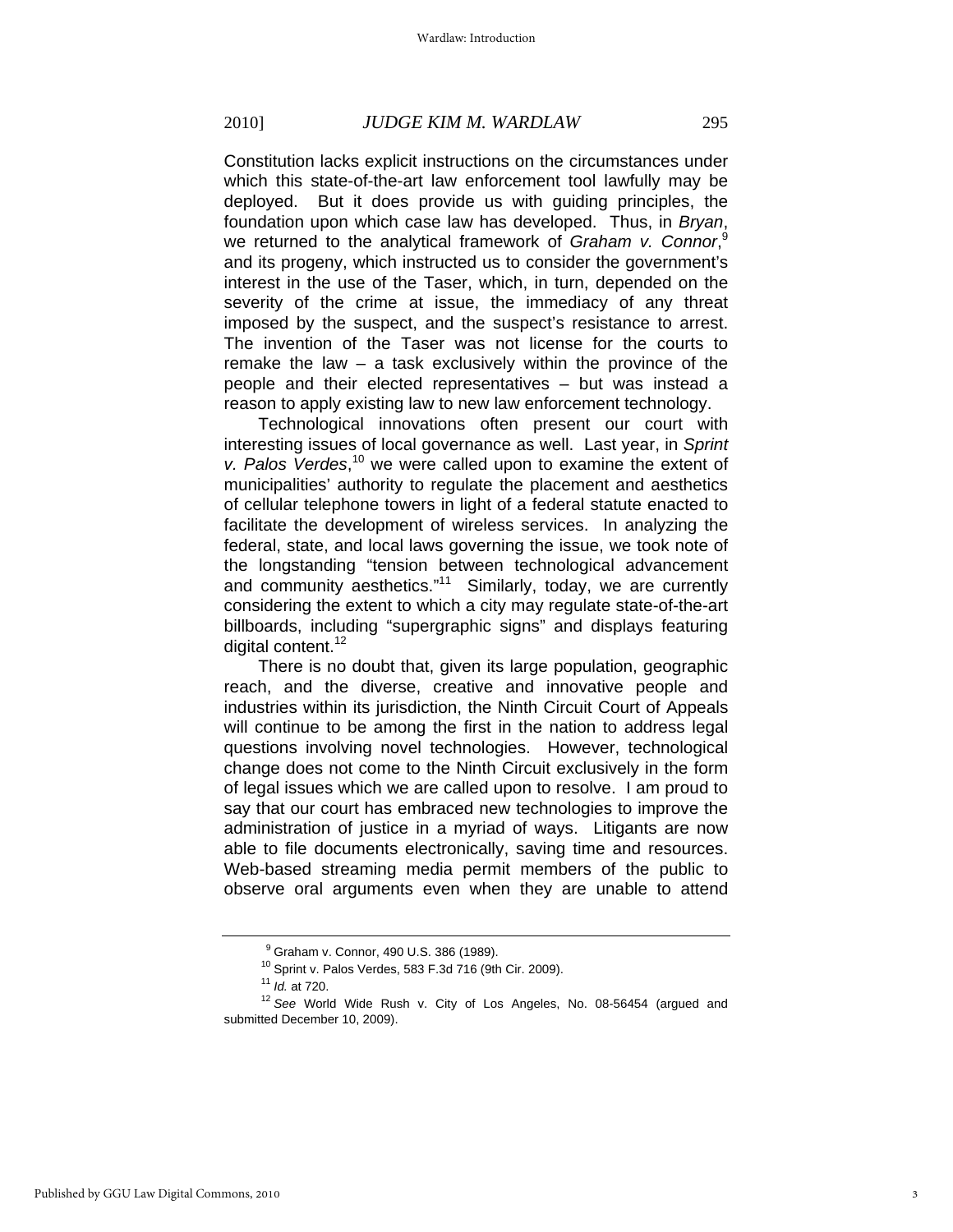#### 2010] *JUDGE KIM M. WARDLAW* 295

Constitution lacks explicit instructions on the circumstances under which this state-of-the-art law enforcement tool lawfully may be deployed. But it does provide us with guiding principles, the foundation upon which case law has developed. Thus, in *Bryan*, we returned to the analytical framework of *Graham v. Connor*,<sup>9</sup> and its progeny, which instructed us to consider the government's interest in the use of the Taser, which, in turn, depended on the severity of the crime at issue, the immediacy of any threat imposed by the suspect, and the suspect's resistance to arrest. The invention of the Taser was not license for the courts to remake the law – a task exclusively within the province of the people and their elected representatives – but was instead a reason to apply existing law to new law enforcement technology.

Technological innovations often present our court with interesting issues of local governance as well. Last year, in *Sprint*  v. Palos Verdes,<sup>10</sup> we were called upon to examine the extent of municipalities' authority to regulate the placement and aesthetics of cellular telephone towers in light of a federal statute enacted to facilitate the development of wireless services. In analyzing the federal, state, and local laws governing the issue, we took note of the longstanding "tension between technological advancement and community aesthetics."<sup>11</sup> Similarly, today, we are currently considering the extent to which a city may regulate state-of-the-art billboards, including "supergraphic signs" and displays featuring digital content.<sup>12</sup>

There is no doubt that, given its large population, geographic reach, and the diverse, creative and innovative people and industries within its jurisdiction, the Ninth Circuit Court of Appeals will continue to be among the first in the nation to address legal questions involving novel technologies. However, technological change does not come to the Ninth Circuit exclusively in the form of legal issues which we are called upon to resolve. I am proud to say that our court has embraced new technologies to improve the administration of justice in a myriad of ways. Litigants are now able to file documents electronically, saving time and resources. Web-based streaming media permit members of the public to observe oral arguments even when they are unable to attend

<sup>&</sup>lt;sup>9</sup> Graham v. Connor, 490 U.S. 386 (1989).

<sup>&</sup>lt;sup>10</sup> Sprint v. Palos Verdes, 583 F.3d 716 (9th Cir. 2009).<br><sup>11</sup>  $Id$ . at 720.

<sup>&</sup>lt;sup>12</sup> See World Wide Rush v. City of Los Angeles, No. 08-56454 (argued and submitted December 10, 2009).